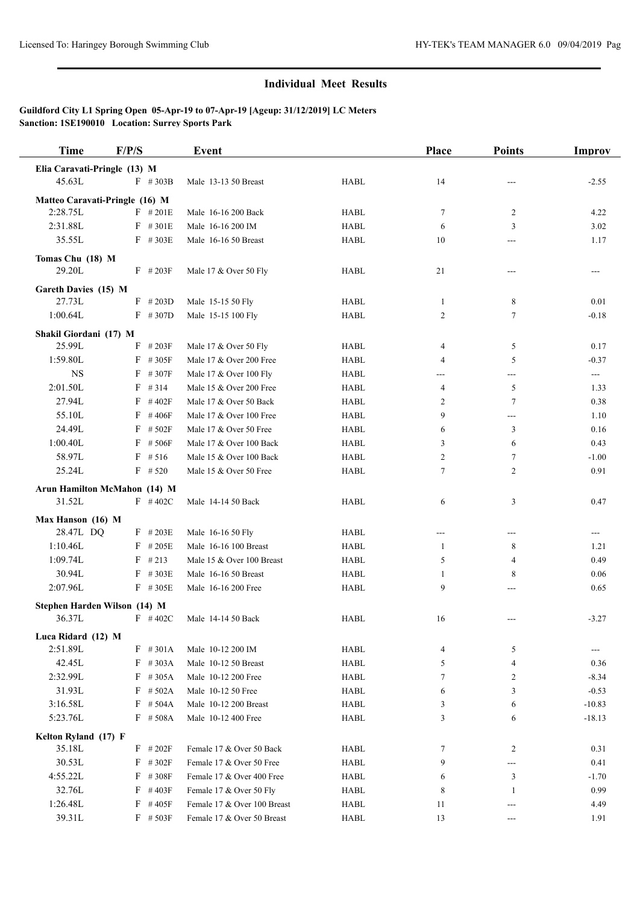## **Individual Meet Results**

## **Guildford City L1 Spring Open 05-Apr-19 to 07-Apr-19 [Ageup: 31/12/2019] LC Meters Sanction: 1SE190010 Location: Surrey Sports Park**

| <b>Time</b>                  | F/P/S                          | Event                       |             | Place | <b>Points</b>              | <b>Improv</b> |
|------------------------------|--------------------------------|-----------------------------|-------------|-------|----------------------------|---------------|
| Elia Caravati-Pringle (13) M |                                |                             |             |       |                            |               |
| 45.63L                       | $F$ # 303B                     | Male 13-13 50 Breast        | <b>HABL</b> | 14    |                            | $-2.55$       |
|                              | Matteo Caravati-Pringle (16) M |                             |             |       |                            |               |
| 2:28.75L                     | $F$ #201E                      | Male 16-16 200 Back         | <b>HABL</b> | 7     | $\overline{c}$             | 4.22          |
| 2:31.88L                     | $F$ #301E                      | Male 16-16 200 IM           | <b>HABL</b> | 6     | 3                          | 3.02          |
| 35.55L                       | $F$ # 303E                     | Male 16-16 50 Breast        | <b>HABL</b> | 10    | $---$                      | 1.17          |
| Tomas Chu (18) M             |                                |                             |             |       |                            |               |
| 29.20L                       | $F$ # 203F                     | Male 17 & Over 50 Fly       | <b>HABL</b> | 21    | ---                        | ---           |
|                              |                                |                             |             |       |                            |               |
| Gareth Davies (15) M         |                                |                             |             |       |                            |               |
| 27.73L                       | $F$ # 203D                     | Male 15-15 50 Fly           | <b>HABL</b> | 1     | 8                          | 0.01          |
| 1:00.64L                     | $F$ #307D                      | Male 15-15 100 Fly          | <b>HABL</b> | 2     | $\tau$                     | $-0.18$       |
| Shakil Giordani (17) M       |                                |                             |             |       |                            |               |
| 25.99L                       | $F$ # 203F                     | Male 17 & Over 50 Fly       | <b>HABL</b> | 4     | 5                          | 0.17          |
| 1:59.80L                     | $F$ #305F                      | Male 17 & Over 200 Free     | <b>HABL</b> | 4     | 5                          | $-0.37$       |
| <b>NS</b>                    | $F$ #307F                      | Male 17 & Over 100 Fly      | <b>HABL</b> | ---   | $---$                      | $---$         |
| 2:01.50L                     | $F$ # 314                      | Male 15 & Over 200 Free     | <b>HABL</b> | 4     | 5                          | 1.33          |
| 27.94L                       | #402F<br>F                     | Male 17 & Over 50 Back      | <b>HABL</b> | 2     | $\tau$                     | 0.38          |
| 55.10L                       | $F$ #406F                      | Male 17 & Over 100 Free     | <b>HABL</b> | 9     | ---                        | 1.10          |
| 24.49L                       | $F$ # 502F                     | Male 17 & Over 50 Free      | <b>HABL</b> | 6     | 3                          | 0.16          |
| 1:00.40L                     | F<br># 506F                    | Male 17 & Over 100 Back     | <b>HABL</b> | 3     | 6                          | 0.43          |
| 58.97L                       | F<br># 516                     | Male 15 & Over 100 Back     | <b>HABL</b> | 2     | $\tau$                     | $-1.00$       |
| 25.24L                       | $F$ # 520                      | Male 15 & Over 50 Free      | <b>HABL</b> | 7     | $\overline{c}$             | 0.91          |
|                              | Arun Hamilton McMahon (14) M   |                             |             |       |                            |               |
| 31.52L                       | $F$ #402C                      | Male 14-14 50 Back          | <b>HABL</b> | 6     | 3                          | 0.47          |
| Max Hanson (16) M            |                                |                             |             |       |                            |               |
| 28.47L DQ                    | $F$ # 203E                     | Male 16-16 50 Fly           | <b>HABL</b> | $---$ | $---$                      | ---           |
| 1:10.46L                     | $F$ # 205E                     | Male 16-16 100 Breast       | <b>HABL</b> | 1     | 8                          | 1.21          |
| 1:09.74L                     | $F$ # 213                      | Male 15 & Over 100 Breast   | <b>HABL</b> | 5     | $\overline{4}$             | 0.49          |
| 30.94L                       | F<br>#303E                     | Male 16-16 50 Breast        | <b>HABL</b> | 1     | 8                          | 0.06          |
| 2:07.96L                     | $F$ #305E                      | Male 16-16 200 Free         | <b>HABL</b> | 9     | ---                        | 0.65          |
|                              | Stephen Harden Wilson (14) M   |                             |             |       |                            |               |
| 36.37L                       | $F$ #402C                      | Male 14-14 50 Back          | <b>HABL</b> | 16    | ---                        | $-3.27$       |
| Luca Ridard (12) M           |                                |                             |             |       |                            |               |
| 2:51.89L                     | $F$ #301A                      | Male 10-12 200 IM           | <b>HABL</b> | 4     | 5                          | ---           |
| 42.45L                       | $F$ #303A                      | Male 10-12 50 Breast        | <b>HABL</b> | 5     | 4                          | 0.36          |
| 2:32.99L                     | $F$ #305A                      | Male 10-12 200 Free         | HABL        | 7     | $\overline{c}$             | $-8.34$       |
| 31.93L                       | $F$ # 502A                     | Male 10-12 50 Free          | HABL        | 6     | 3                          | $-0.53$       |
| 3:16.58L                     | $F$ # 504A                     | Male 10-12 200 Breast       | HABL        | 3     | 6                          | $-10.83$      |
| 5:23.76L                     | $F$ # 508A                     | Male 10-12 400 Free         | <b>HABL</b> | 3     | 6                          | $-18.13$      |
|                              |                                |                             |             |       |                            |               |
| Kelton Ryland (17) F         |                                |                             |             |       |                            |               |
| 35.18L                       | $F$ # 202F                     | Female 17 & Over 50 Back    | <b>HABL</b> | 7     | 2                          | 0.31          |
| 30.53L                       | $F$ # 302F                     | Female 17 & Over 50 Free    | <b>HABL</b> | 9     | $\qquad \qquad \text{---}$ | 0.41          |
| 4:55.22L                     | $F$ #308F                      | Female 17 & Over 400 Free   | HABL        | 6     | 3                          | $-1.70$       |
| 32.76L                       | $F$ #403F                      | Female 17 & Over 50 Fly     | HABL        | 8     | 1                          | 0.99          |
| 1:26.48L                     | F<br>#405F                     | Female 17 & Over 100 Breast | <b>HABL</b> | 11    | ---                        | 4.49          |
| 39.31L                       | $F$ # 503F                     | Female 17 & Over 50 Breast  | <b>HABL</b> | 13    | $\qquad \qquad \text{---}$ | 1.91          |